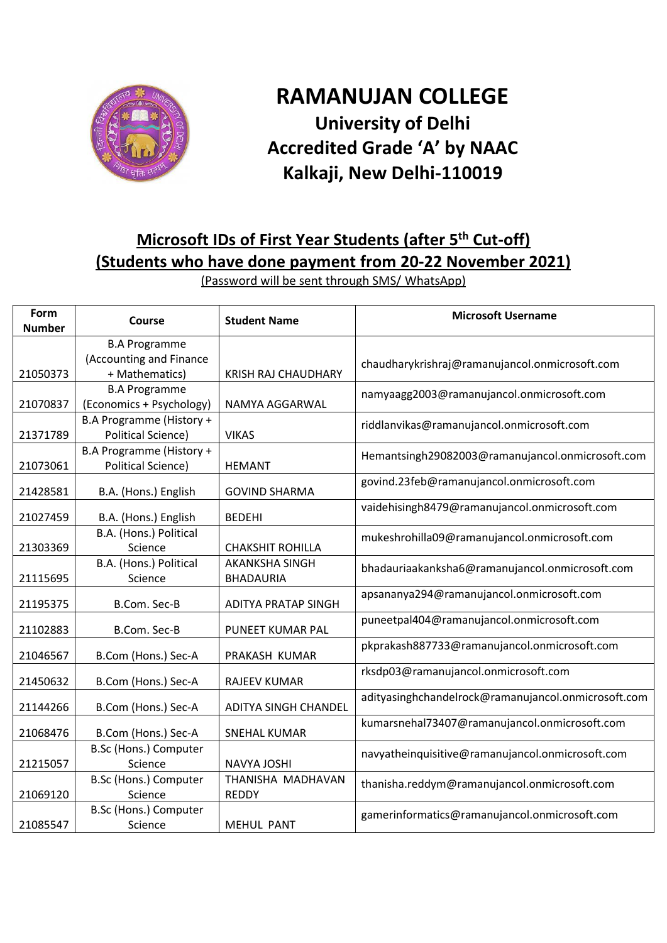

## **RAMANUJAN COLLEGE University of Delhi Accredited Grade 'A' by NAAC Kalkaji, New Delhi-110019**

## **Microsoft IDs of First Year Students (after 5 th Cut-off) (Students who have done payment from 20-22 November 2021)**

(Password will be sent through SMS/ WhatsApp)

| Form<br><b>Number</b> | Course                                                | <b>Student Name</b>        | <b>Microsoft Username</b>                           |
|-----------------------|-------------------------------------------------------|----------------------------|-----------------------------------------------------|
|                       | <b>B.A Programme</b>                                  |                            |                                                     |
|                       | (Accounting and Finance                               |                            | chaudharykrishraj@ramanujancol.onmicrosoft.com      |
| 21050373              | + Mathematics)                                        | <b>KRISH RAJ CHAUDHARY</b> |                                                     |
|                       | <b>B.A Programme</b>                                  |                            | namyaagg2003@ramanujancol.onmicrosoft.com           |
| 21070837              | (Economics + Psychology)                              | NAMYA AGGARWAL             |                                                     |
| 21371789              | B.A Programme (History +<br><b>Political Science)</b> | <b>VIKAS</b>               | riddlanvikas@ramanujancol.onmicrosoft.com           |
|                       | B.A Programme (History +                              |                            |                                                     |
| 21073061              | <b>Political Science)</b>                             | <b>HEMANT</b>              | Hemantsingh29082003@ramanujancol.onmicrosoft.com    |
|                       |                                                       |                            | govind.23feb@ramanujancol.onmicrosoft.com           |
| 21428581              | B.A. (Hons.) English                                  | <b>GOVIND SHARMA</b>       |                                                     |
| 21027459              | B.A. (Hons.) English                                  | <b>BEDEHI</b>              | vaidehisingh8479@ramanujancol.onmicrosoft.com       |
|                       | B.A. (Hons.) Political                                |                            |                                                     |
| 21303369              | Science                                               | <b>CHAKSHIT ROHILLA</b>    | mukeshrohilla09@ramanujancol.onmicrosoft.com        |
|                       | B.A. (Hons.) Political                                | <b>AKANKSHA SINGH</b>      |                                                     |
| 21115695              | Science                                               | <b>BHADAURIA</b>           | bhadauriaakanksha6@ramanujancol.onmicrosoft.com     |
| 21195375              | B.Com. Sec-B                                          | <b>ADITYA PRATAP SINGH</b> | apsananya294@ramanujancol.onmicrosoft.com           |
|                       |                                                       |                            | puneetpal404@ramanujancol.onmicrosoft.com           |
| 21102883              | B.Com. Sec-B                                          | PUNEET KUMAR PAL           |                                                     |
| 21046567              | B.Com (Hons.) Sec-A                                   | PRAKASH KUMAR              | pkprakash887733@ramanujancol.onmicrosoft.com        |
|                       |                                                       |                            | rksdp03@ramanujancol.onmicrosoft.com                |
| 21450632              | B.Com (Hons.) Sec-A                                   | RAJEEV KUMAR               | adityasinghchandelrock@ramanujancol.onmicrosoft.com |
| 21144266              | B.Com (Hons.) Sec-A                                   | ADITYA SINGH CHANDEL       |                                                     |
| 21068476              | B.Com (Hons.) Sec-A                                   | <b>SNEHAL KUMAR</b>        | kumarsnehal73407@ramanujancol.onmicrosoft.com       |
|                       | B.Sc (Hons.) Computer                                 |                            | navyatheinquisitive@ramanujancol.onmicrosoft.com    |
| 21215057              | Science                                               | NAVYA JOSHI                |                                                     |
|                       | B.Sc (Hons.) Computer                                 | THANISHA MADHAVAN          | thanisha.reddym@ramanujancol.onmicrosoft.com        |
| 21069120              | Science                                               | <b>REDDY</b>               |                                                     |
|                       | B.Sc (Hons.) Computer                                 |                            | gamerinformatics@ramanujancol.onmicrosoft.com       |
| 21085547              | Science                                               | <b>MEHUL PANT</b>          |                                                     |